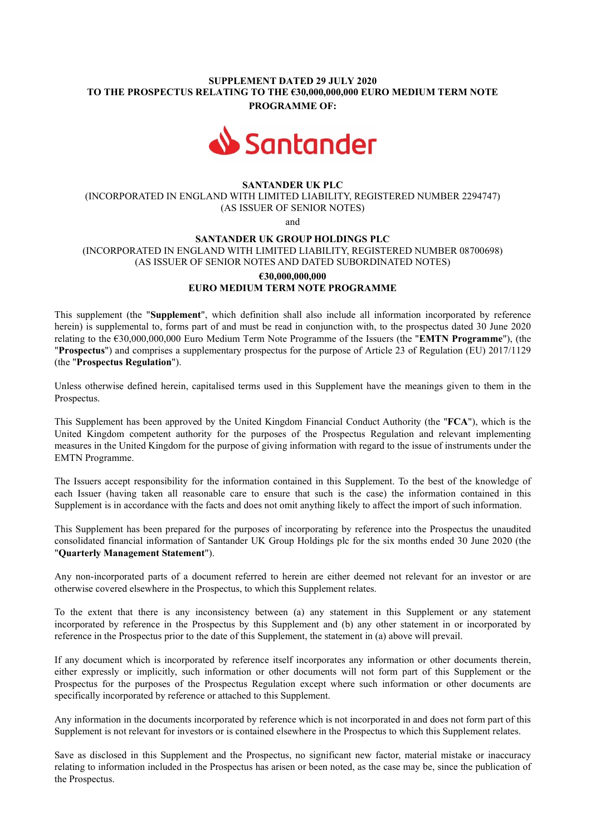## SUPPLEMENT DATED 29 JULY 2020 TO THE PROSPECTUS RELATING TO THE €30,000,000,000 EURO MEDIUM TERM NOTE PROGRAMME OF:



## SANTANDER UK PLC

(INCORPORATED IN ENGLAND WITH LIMITED LIABILITY, REGISTERED NUMBER 2294747) (AS ISSUER OF SENIOR NOTES)

and

#### SANTANDER UK GROUP HOLDINGS PLC

(INCORPORATED IN ENGLAND WITH LIMITED LIABILITY, REGISTERED NUMBER 08700698) (AS ISSUER OF SENIOR NOTES AND DATED SUBORDINATED NOTES)

# €30,000,000,000 EURO MEDIUM TERM NOTE PROGRAMME

This supplement (the "Supplement", which definition shall also include all information incorporated by reference herein) is supplemental to, forms part of and must be read in conjunction with, to the prospectus dated 30 June 2020 relating to the €30,000,000,000 Euro Medium Term Note Programme of the Issuers (the "EMTN Programme"), (the "Prospectus") and comprises a supplementary prospectus for the purpose of Article 23 of Regulation (EU) 2017/1129 (the "Prospectus Regulation").

Unless otherwise defined herein, capitalised terms used in this Supplement have the meanings given to them in the Prospectus.

This Supplement has been approved by the United Kingdom Financial Conduct Authority (the "FCA"), which is the United Kingdom competent authority for the purposes of the Prospectus Regulation and relevant implementing measures in the United Kingdom for the purpose of giving information with regard to the issue of instruments under the EMTN Programme.

The Issuers accept responsibility for the information contained in this Supplement. To the best of the knowledge of each Issuer (having taken all reasonable care to ensure that such is the case) the information contained in this Supplement is in accordance with the facts and does not omit anything likely to affect the import of such information.

This Supplement has been prepared for the purposes of incorporating by reference into the Prospectus the unaudited consolidated financial information of Santander UK Group Holdings plc for the six months ended 30 June 2020 (the "Quarterly Management Statement").

Any non-incorporated parts of a document referred to herein are either deemed not relevant for an investor or are otherwise covered elsewhere in the Prospectus, to which this Supplement relates.

To the extent that there is any inconsistency between (a) any statement in this Supplement or any statement incorporated by reference in the Prospectus by this Supplement and (b) any other statement in or incorporated by reference in the Prospectus prior to the date of this Supplement, the statement in (a) above will prevail.

If any document which is incorporated by reference itself incorporates any information or other documents therein, either expressly or implicitly, such information or other documents will not form part of this Supplement or the Prospectus for the purposes of the Prospectus Regulation except where such information or other documents are specifically incorporated by reference or attached to this Supplement.

Any information in the documents incorporated by reference which is not incorporated in and does not form part of this Supplement is not relevant for investors or is contained elsewhere in the Prospectus to which this Supplement relates.

Save as disclosed in this Supplement and the Prospectus, no significant new factor, material mistake or inaccuracy relating to information included in the Prospectus has arisen or been noted, as the case may be, since the publication of the Prospectus.